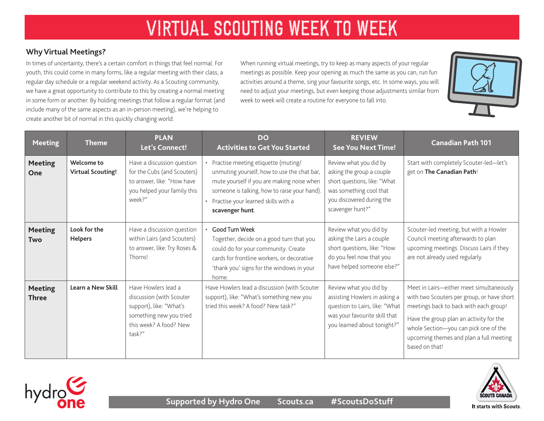# VIRTUAL SCOUTING WEEK TO WEEK

#### **Why Virtual Meetings?**

In times of uncertainty, there's a certain comfort in things that feel normal. For youth, this could come in many forms, like a regular meeting with their class, a regular day schedule or a regular weekend activity. As a Scouting community, we have a great opportunity to contribute to this by creating a normal meeting in some form or another. By holding meetings that follow a regular format (and include many of the same aspects as an in-person meeting), we're helping to create another bit of normal in this quickly changing world.

When running virtual meetings, try to keep as many aspects of your regular meetings as possible. Keep your opening as much the same as you can, run fun activities around a theme, sing your favourite songs, etc. In some ways, you will need to adjust your meetings, but even keeping those adjustments similar from week to week will create a routine for everyone to fall into.



| <b>Meeting</b>                 | <b>Theme</b>                           | <b>PLAN</b><br>Let's Connect!                                                                                                             | <b>DO</b><br><b>Activities to Get You Started</b>                                                                                                                                                                                            | <b>REVIEW</b><br><b>See You Next Time!</b>                                                                                                                      | <b>Canadian Path 101</b>                                                                                                                                                                                                                                                          |
|--------------------------------|----------------------------------------|-------------------------------------------------------------------------------------------------------------------------------------------|----------------------------------------------------------------------------------------------------------------------------------------------------------------------------------------------------------------------------------------------|-----------------------------------------------------------------------------------------------------------------------------------------------------------------|-----------------------------------------------------------------------------------------------------------------------------------------------------------------------------------------------------------------------------------------------------------------------------------|
| <b>Meeting</b><br>One          | Welcome to<br><b>Virtual Scouting!</b> | Have a discussion question<br>for the Cubs (and Scouters)<br>to answer, like: "How have<br>you helped your family this<br>week?"          | Practise meeting etiquette (muting/<br>unmuting yourself, how to use the chat bar,<br>mute yourself if you are making noise when<br>someone is talking, how to raise your hand).<br>• Practise your learned skills with a<br>scavenger hunt. | Review what you did by<br>asking the group a couple<br>short questions, like: "What<br>was something cool that<br>you discovered during the<br>scavenger hunt?" | Start with completely Scouter-led-let's<br>get on The Canadian Path!                                                                                                                                                                                                              |
| <b>Meeting</b><br><b>Two</b>   | Look for the<br><b>Helpers</b>         | Have a discussion question<br>within Lairs (and Scouters)<br>to answer, like: Try Roses &<br>Thorns!                                      | Good Turn Week<br>Together, decide on a good turn that you<br>could do for your community. Create<br>cards for frontline workers, or decorative<br>'thank you' signs for the windows in your<br>home.                                        | Review what you did by<br>asking the Lairs a couple<br>short questions, like: "How<br>do you feel now that you<br>have helped someone else?"                    | Scouter-led meeting, but with a Howler<br>Council meeting afterwards to plan<br>upcoming meetings. Discuss Lairs if they<br>are not already used regularly.                                                                                                                       |
| <b>Meeting</b><br><b>Three</b> | Learn a New Skill                      | Have Howlers lead a<br>discussion (with Scouter<br>support), like: "What's<br>something new you tried<br>this week? A food? New<br>task?" | Have Howlers lead a discussion (with Scouter<br>support), like: "What's something new you<br>tried this week? A food? New task?"                                                                                                             | Review what you did by<br>assisting Howlers in asking a<br>question to Lairs, like: "What<br>was your favourite skill that<br>you learned about tonight?"       | Meet in Lairs-either meet simultaneously<br>with two Scouters per group, or have short<br>meetings back to back with each group!<br>Have the group plan an activity for the<br>whole Section-you can pick one of the<br>upcoming themes and plan a full meeting<br>based on that! |





It starts with Scouts.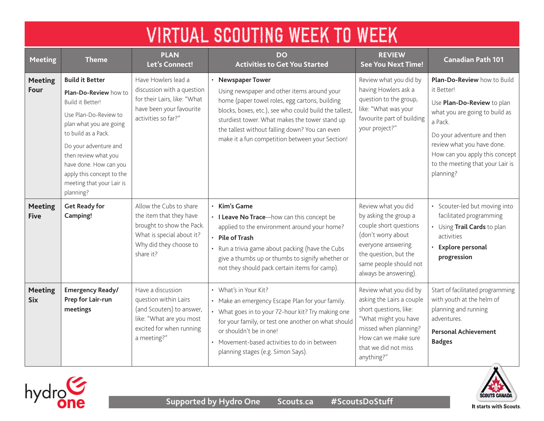| <b>VIRTUAL SCOUTING WEEK TO WEEK</b> |                                                                                                                                                                                                                                                                                                         |                                                                                                                                                     |                                                                                                                                                                                                                                                                                                                                     |                                                                                                                                                                                                |                                                                                                                                                                                                                                                                     |  |  |
|--------------------------------------|---------------------------------------------------------------------------------------------------------------------------------------------------------------------------------------------------------------------------------------------------------------------------------------------------------|-----------------------------------------------------------------------------------------------------------------------------------------------------|-------------------------------------------------------------------------------------------------------------------------------------------------------------------------------------------------------------------------------------------------------------------------------------------------------------------------------------|------------------------------------------------------------------------------------------------------------------------------------------------------------------------------------------------|---------------------------------------------------------------------------------------------------------------------------------------------------------------------------------------------------------------------------------------------------------------------|--|--|
| <b>Meeting</b>                       | <b>Theme</b>                                                                                                                                                                                                                                                                                            | <b>PLAN</b><br><b>Let's Connect!</b>                                                                                                                | <b>DO</b><br><b>Activities to Get You Started</b>                                                                                                                                                                                                                                                                                   | <b>REVIEW</b><br><b>See You Next Time!</b>                                                                                                                                                     | <b>Canadian Path 101</b>                                                                                                                                                                                                                                            |  |  |
| <b>Meeting</b><br>Four               | <b>Build it Better</b><br><b>Plan-Do-Review how to</b><br>Build it Better!<br>Use Plan-Do-Review to<br>plan what you are going<br>to build as a Pack.<br>Do your adventure and<br>then review what you<br>have done. How can you<br>apply this concept to the<br>meeting that your Lair is<br>planning? | Have Howlers lead a<br>discussion with a question<br>for their Lairs, like: "What<br>have been your favourite<br>activities so far?"                | • Newspaper Tower<br>Using newspaper and other items around your<br>home (paper towel roles, egg cartons, building<br>blocks, boxes, etc.), see who could build the tallest,<br>sturdiest tower. What makes the tower stand up<br>the tallest without falling down? You can even<br>make it a fun competition between your Section! | Review what you did by<br>having Howlers ask a<br>question to the group,<br>like: "What was your<br>favourite part of building<br>your project?"                                               | Plan-Do-Review how to Build<br>it Better!<br>Use Plan-Do-Review to plan<br>what you are going to build as<br>a Pack.<br>Do your adventure and then<br>review what you have done.<br>How can you apply this concept<br>to the meeting that your Lair is<br>planning? |  |  |
| <b>Meeting</b><br><b>Five</b>        | <b>Get Ready for</b><br>Camping!                                                                                                                                                                                                                                                                        | Allow the Cubs to share<br>the item that they have<br>brought to show the Pack.<br>What is special about it?<br>Why did they choose to<br>share it? | $\cdot$ Kim's Game<br>• I Leave No Trace-how can this concept be<br>applied to the environment around your home?<br>· Pile of Trash<br>• Run a trivia game about packing (have the Cubs<br>give a thumbs up or thumbs to signify whether or<br>not they should pack certain items for camp).                                        | Review what you did<br>by asking the group a<br>couple short questions<br>(don't worry about<br>everyone answering<br>the question, but the<br>same people should not<br>always be answering). | • Scouter-led but moving into<br>facilitated programming<br>• Using Trail Cards to plan<br>activities<br>· Explore personal<br>progression                                                                                                                          |  |  |
| <b>Meeting</b><br><b>Six</b>         | Emergency Ready/<br>Prep for Lair-run<br>meetings                                                                                                                                                                                                                                                       | Have a discussion<br>question within Lairs<br>(and Scouters) to answer,<br>like: "What are you most<br>excited for when running<br>a meeting?"      | • What's in Your Kit?<br>• Make an emergency Escape Plan for your family.<br>• What goes in to your 72-hour kit? Try making one<br>for your family, or test one another on what should<br>or shouldn't be in one!<br>• Movement-based activities to do in between<br>planning stages (e.g. Simon Says).                             | Review what you did by<br>asking the Lairs a couple<br>short questions, like:<br>"What might you have<br>missed when planning?<br>How can we make sure<br>that we did not miss<br>anything?"   | Start of facilitated programming<br>with youth at the helm of<br>planning and running<br>adventures.<br><b>Personal Achievement</b><br><b>Badges</b>                                                                                                                |  |  |





It starts with Scouts.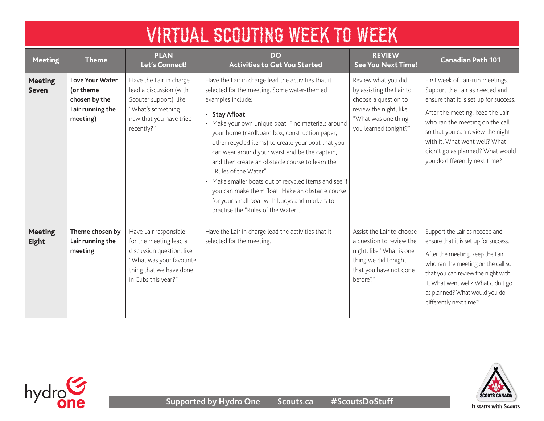| <b>VIRTUAL SCOUTING WEEK TO WEEK</b> |                                                                                      |                                                                                                                                                             |                                                                                                                                                                                                                                                                                                                                                                                                                                                                                                                                                                                                                                         |                                                                                                                                                   |                                                                                                                                                                                                                                                                                                                              |  |  |  |
|--------------------------------------|--------------------------------------------------------------------------------------|-------------------------------------------------------------------------------------------------------------------------------------------------------------|-----------------------------------------------------------------------------------------------------------------------------------------------------------------------------------------------------------------------------------------------------------------------------------------------------------------------------------------------------------------------------------------------------------------------------------------------------------------------------------------------------------------------------------------------------------------------------------------------------------------------------------------|---------------------------------------------------------------------------------------------------------------------------------------------------|------------------------------------------------------------------------------------------------------------------------------------------------------------------------------------------------------------------------------------------------------------------------------------------------------------------------------|--|--|--|
| <b>Meeting</b>                       | <b>Theme</b>                                                                         | <b>PLAN</b><br>Let's Connect!                                                                                                                               | DO<br><b>Activities to Get You Started</b>                                                                                                                                                                                                                                                                                                                                                                                                                                                                                                                                                                                              | <b>REVIEW</b><br><b>See You Next Time!</b>                                                                                                        | <b>Canadian Path 101</b>                                                                                                                                                                                                                                                                                                     |  |  |  |
| <b>Meeting</b><br><b>Seven</b>       | <b>Love Your Water</b><br>(or theme<br>chosen by the<br>Lair running the<br>meeting) | Have the Lair in charge<br>lead a discussion (with<br>Scouter support), like:<br>"What's something<br>new that you have tried<br>recently?"                 | Have the Lair in charge lead the activities that it<br>selected for the meeting. Some water-themed<br>examples include:<br>· Stay Afloat<br>• Make your own unique boat. Find materials around<br>your home (cardboard box, construction paper,<br>other recycled items) to create your boat that you<br>can wear around your waist and be the captain,<br>and then create an obstacle course to learn the<br>"Rules of the Water".<br>• Make smaller boats out of recycled items and see if<br>you can make them float. Make an obstacle course<br>for your small boat with buoys and markers to<br>practise the "Rules of the Water". | Review what you did<br>by assisting the Lair to<br>choose a question to<br>review the night, like<br>"What was one thing<br>you learned tonight?" | First week of Lair-run meetings.<br>Support the Lair as needed and<br>ensure that it is set up for success.<br>After the meeting, keep the Lair<br>who ran the meeting on the call<br>so that you can review the night<br>with it. What went well? What<br>didn't go as planned? What would<br>you do differently next time? |  |  |  |
| <b>Meeting</b><br>Eight              | Theme chosen by<br>Lair running the<br>meeting                                       | Have Lair responsible<br>for the meeting lead a<br>discussion question, like:<br>"What was your favourite<br>thing that we have done<br>in Cubs this year?" | Have the Lair in charge lead the activities that it<br>selected for the meeting.                                                                                                                                                                                                                                                                                                                                                                                                                                                                                                                                                        | Assist the Lair to choose<br>a question to review the<br>night, like "What is one<br>thing we did tonight<br>that you have not done<br>before?"   | Support the Lair as needed and<br>ensure that it is set up for success.<br>After the meeting, keep the Lair<br>who ran the meeting on the call so<br>that you can review the night with<br>it. What went well? What didn't go<br>as planned? What would you do<br>differently next time?                                     |  |  |  |



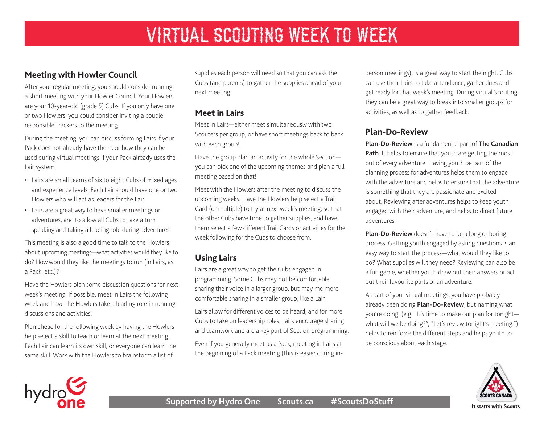## **Meeting with Howler Council**

After your regular meeting, you should consider running a short meeting with your Howler Council. Your Howlers are your 10-year-old (grade 5) Cubs. If you only have one or two Howlers, you could consider inviting a couple responsible Trackers to the meeting.

During the meeting, you can discuss forming Lairs if your Pack does not already have them, or how they can be used during virtual meetings if your Pack already uses the Lair system.

- Lairs are small teams of six to eight Cubs of mixed ages and experience levels. Each Lair should have one or two Howlers who will act as leaders for the Lair.
- Lairs are a great way to have smaller meetings or adventures, and to allow all Cubs to take a turn speaking and taking a leading role during adventures.

This meeting is also a good time to talk to the Howlers about upcoming meetings—what activities would they like to do? How would they like the meetings to run (in Lairs, as a Pack, etc.)?

Have the Howlers plan some discussion questions for next week's meeting. If possible, meet in Lairs the following week and have the Howlers take a leading role in running discussions and activities.

Plan ahead for the following week by having the Howlers help select a skill to teach or learn at the next meeting. Each Lair can learn its own skill, or everyone can learn the same skill. Work with the Howlers to brainstorm a list of

supplies each person will need so that you can ask the Cubs (and parents) to gather the supplies ahead of your next meeting.

#### **Meet in Lairs**

Meet in Lairs—either meet simultaneously with two Scouters per group, or have short meetings back to back with each group!

Have the group plan an activity for the whole Section you can pick one of the upcoming themes and plan a full meeting based on that!

Meet with the Howlers after the meeting to discuss the upcoming weeks. Have the Howlers help select a Trail Card (or multiple) to try at next week's meeting, so that the other Cubs have time to gather supplies, and have them select a few different Trail Cards or activities for the week following for the Cubs to choose from.

## **Using Lairs**

Lairs are a great way to get the Cubs engaged in programming. Some Cubs may not be comfortable sharing their voice in a larger group, but may me more comfortable sharing in a smaller group, like a Lair.

Lairs allow for different voices to be heard, and for more Cubs to take on leadership roles. Lairs encourage sharing and teamwork and are a key part of Section programming.

Even if you generally meet as a Pack, meeting in Lairs at the beginning of a Pack meeting (this is easier during inperson meetings), is a great way to start the night. Cubs can use their Lairs to take attendance, gather dues and get ready for that week's meeting. During virtual Scouting, they can be a great way to break into smaller groups for activities, as well as to gather feedback.

## **Plan-Do-Review**

**[Plan-Do-Review](https://www.scouts.ca/programs/canadian-path/about/the-four-elements.html)** is a fundamental part of **[The Canadian](https://www.scouts.ca/programs/canadian-path/overview.html)  [Path](https://www.scouts.ca/programs/canadian-path/overview.html)**. It helps to ensure that youth are getting the most out of every adventure. Having youth be part of the planning process for adventures helps them to engage with the adventure and helps to ensure that the adventure is something that they are passionate and excited about. Reviewing after adventures helps to keep youth engaged with their adventure, and helps to direct future adventures.

**[Plan-Do-Review](https://www.scouts.ca/programs/canadian-path/about/the-four-elements.html)** doesn't have to be a long or boring process. Getting youth engaged by asking questions is an easy way to start the process—what would they like to do? What supplies will they need? Reviewing can also be a fun game, whether youth draw out their answers or act out their favourite parts of an adventure.

As part of your virtual meetings, you have probably already been doing **[Plan-Do-Review](https://www.scouts.ca/programs/canadian-path/about/the-four-elements.html)**, but naming what you're doing (e.g. "It's time to make our plan for tonight what will we be doing?", "Let's review tonight's meeting.") helps to reinforce the different steps and helps youth to be conscious about each stage.



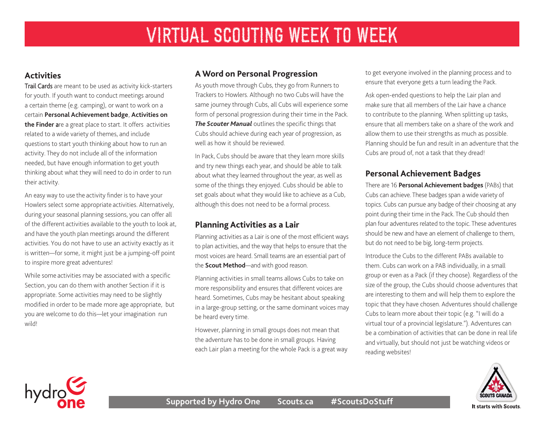#### **Activities**

Trail Cards are meant to be used as activity kick-starters for youth. If youth want to conduct meetings around a certain theme (e.g. camping), or want to work on a certain **[P](https://www.scouts.ca/resources/activity-finder.html)[ersonal Achievement badge](https://scoutsca.s3.amazonaws.com/2019/01/scouter-manual.pdf#page=136)**, **Activities on the Finder** are a great place to start. It offers activities related to a wide variety of themes, and include questions to start youth thinking about how to run an activity. They do not include all of the information needed, but have enough information to get youth thinking about what they will need to do in order to run their activity.

An easy way to use the activity finder is to have your Howlers select some appropriate activities. Alternatively, during your seasonal planning sessions, you can offer all of the different activities available to the youth to look at, and have the youth plan meetings around the different activities. You do not have to use an activity exactly as it is written—for some, it might just be a jumping-off point to inspire more great adventures!

While some activities may be associated with a specific Section, you can do them with another Section if it is appropriate. Some activities may need to be slightly modified in order to be made more age appropriate, but you are welcome to do this—let your imagination run wild!

## **A Word on Personal Progression**

As youth move through Cubs, they go from Runners to Trackers to Howlers. Although no two Cubs will have the same journey through Cubs, all Cubs will experience some form of personal progression during their time in the Pack. *[The Scouter Manual](https://scoutsca.s3.amazonaws.com/2019/01/scouter-manual.pdf)* outlines the specific things that Cubs should achieve during each year of progression, as well as how it should be reviewed.

In Pack, Cubs should be aware that they learn more skills and try new things each year, and should be able to talk about what they learned throughout the year, as well as some of the things they enjoyed. Cubs should be able to set goals about what they would like to achieve as a Cub, although this does not need to be a formal process.

## **Planning Activities as a Lair**

Planning activities as a Lair is one of the most efficient ways to plan activities, and the way that helps to ensure that the most voices are heard. Small teams are an essential part of the **[Scout Method](https://scoutsca.s3.amazonaws.com/2019/01/scouter-manual.pdf#page=9)**—and with good reason.

Planning activities in small teams allows Cubs to take on more responsibility and ensures that different voices are heard. Sometimes, Cubs may be hesitant about speaking in a large-group setting, or the same dominant voices may be heard every time.

However, planning in small groups does not mean that the adventure has to be done in small groups. Having each Lair plan a meeting for the whole Pack is a great way to get everyone involved in the planning process and to ensure that everyone gets a turn leading the Pack.

Ask open-ended questions to help the Lair plan and make sure that all members of the Lair have a chance to contribute to the planning. When splitting up tasks, ensure that all members take on a share of the work and allow them to use their strengths as much as possible. Planning should be fun and result in an adventure that the Cubs are proud of, not a task that they dread!

#### **Personal Achievement Badges**

There are 16 **[Personal Achievement badges](https://scoutsca.s3.amazonaws.com/2019/02/cs-pab-guide.pdf)** (PABs) that Cubs can achieve. These badges span a wide variety of topics. Cubs can pursue any badge of their choosing at any point during their time in the Pack. The Cub should then plan four adventures related to the topic. These adventures should be new and have an element of challenge to them, but do not need to be big, long-term projects.

Introduce the Cubs to the different PABs available to them. Cubs can work on a PAB individually, in a small group or even as a Pack (if they choose). Regardless of the size of the group, the Cubs should choose adventures that are interesting to them and will help them to explore the topic that they have chosen. Adventures should challenge Cubs to learn more about their topic (e.g. "I will do a virtual tour of a provincial legislature."). Adventures can be a combination of activities that can be done in real life and virtually, but should not just be watching videos or reading websites!





It starts with Scouts.